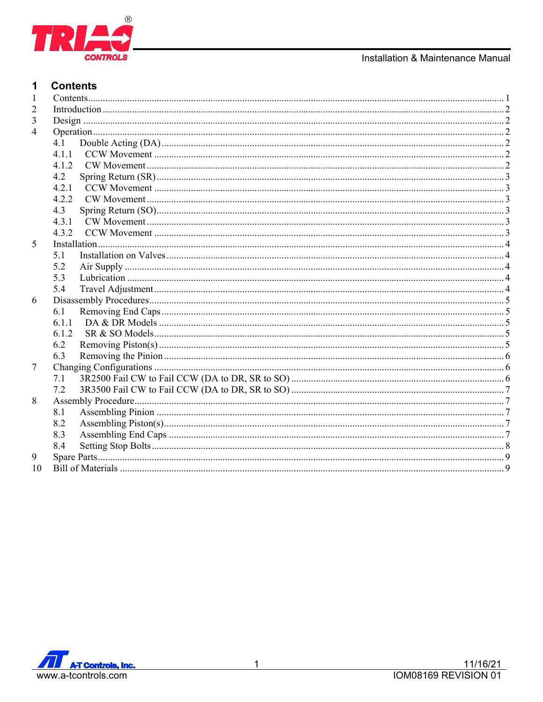

| 1              |       |  |  |  |  |  |  |
|----------------|-------|--|--|--|--|--|--|
| 2              |       |  |  |  |  |  |  |
| 3              |       |  |  |  |  |  |  |
| $\overline{4}$ |       |  |  |  |  |  |  |
|                | 4.1   |  |  |  |  |  |  |
|                |       |  |  |  |  |  |  |
|                | 4.1.2 |  |  |  |  |  |  |
|                | 4.2   |  |  |  |  |  |  |
|                | 4.2.1 |  |  |  |  |  |  |
|                | 4.2.2 |  |  |  |  |  |  |
|                | 4.3   |  |  |  |  |  |  |
|                | 4.3.1 |  |  |  |  |  |  |
|                | 4.3.2 |  |  |  |  |  |  |
| 5              |       |  |  |  |  |  |  |
|                | 5.1   |  |  |  |  |  |  |
|                | 5.2   |  |  |  |  |  |  |
|                | 5.3   |  |  |  |  |  |  |
|                | 5.4   |  |  |  |  |  |  |
| 6              |       |  |  |  |  |  |  |
|                | 6.1   |  |  |  |  |  |  |
|                | 6.1.1 |  |  |  |  |  |  |
|                | 6.1.2 |  |  |  |  |  |  |
|                | 6.2   |  |  |  |  |  |  |
|                | 6.3   |  |  |  |  |  |  |
| 7              |       |  |  |  |  |  |  |
|                | 7.1   |  |  |  |  |  |  |
|                | 7.2   |  |  |  |  |  |  |
| 8              |       |  |  |  |  |  |  |
|                | 8.1   |  |  |  |  |  |  |
|                | 8.2   |  |  |  |  |  |  |
|                | 8.3   |  |  |  |  |  |  |
|                | 8.4   |  |  |  |  |  |  |
| 9              |       |  |  |  |  |  |  |
| 10             |       |  |  |  |  |  |  |
|                |       |  |  |  |  |  |  |

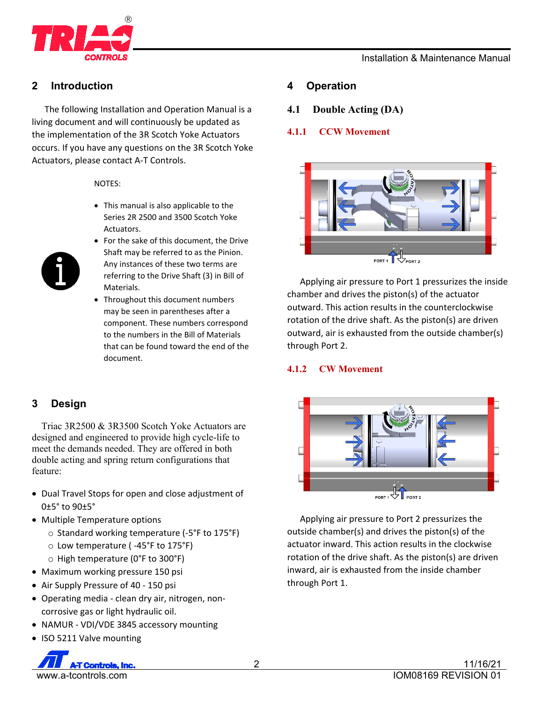

## **2 Introduction**

The following Installation and Operation Manual is a living document and will continuously be updated as the implementation of the 3R Scotch Yoke Actuators occurs. If you have any questions on the 3R Scotch Yoke Actuators, please contact A‐T Controls.

NOTES:

- This manual is also applicable to the Series 2R 2500 and 3500 Scotch Yoke Actuators.
- 
- For the sake of this document, the Drive Shaft may be referred to as the Pinion. Any instances of these two terms are referring to the Drive Shaft (3) in Bill of Materials.
- Throughout this document numbers may be seen in parentheses after a component. These numbers correspond to the numbers in the Bill of Materials that can be found toward the end of the document.

# **3 Design**

Triac 3R2500 & 3R3500 Scotch Yoke Actuators are designed and engineered to provide high cycle-life to meet the demands needed. They are offered in both double acting and spring return configurations that feature:

- Dual Travel Stops for open and close adjustment of 0±5° to 90±5°
- Multiple Temperature options
	- o Standard working temperature (‐5°F to 175°F)
	- o Low temperature ( ‐45°F to 175°F)
	- o High temperature (0°F to 300°F)
- Maximum working pressure 150 psi
- Air Supply Pressure of 40 ‐ 150 psi
- Operating media ‐ clean dry air, nitrogen, non‐ corrosive gas or light hydraulic oil.
- NAMUR VDI/VDE 3845 accessory mounting
- ISO 5211 Valve mounting



# **4 Operation**

**4.1 Double Acting (DA)** 

### **4.1.1 CCW Movement**



Applying air pressure to Port 1 pressurizes the inside chamber and drives the piston(s) of the actuator outward. This action results in the counterclockwise rotation of the drive shaft. As the piston(s) are driven outward, air is exhausted from the outside chamber(s) through Port 2.

#### **4.1.2 CW Movement**



Applying air pressure to Port 2 pressurizes the outside chamber(s) and drives the piston(s) of the actuator inward. This action results in the clockwise rotation of the drive shaft. As the piston(s) are driven inward, air is exhausted from the inside chamber through Port 1.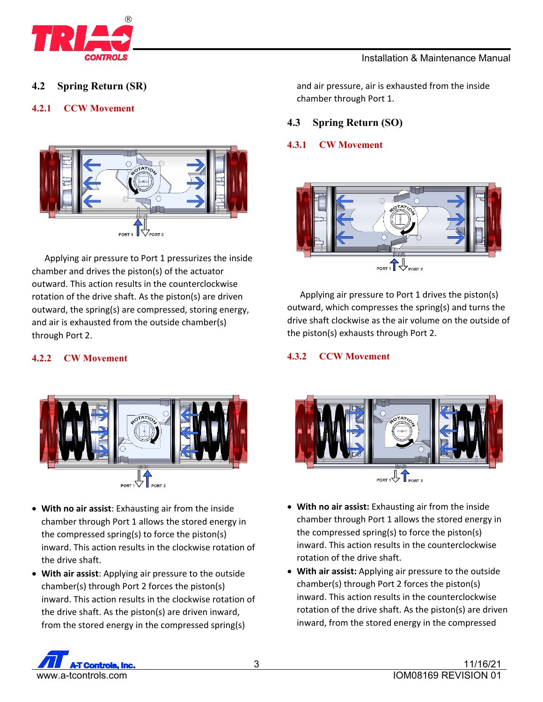

**4.2 Spring Return (SR)** 

### **4.2.1 CCW Movement**



Applying air pressure to Port 1 pressurizes the inside chamber and drives the piston(s) of the actuator outward. This action results in the counterclockwise rotation of the drive shaft. As the piston(s) are driven outward, the spring(s) are compressed, storing energy, and air is exhausted from the outside chamber(s) through Port 2.

#### **4.2.2 CW Movement**



- **With no air assist**: Exhausting air from the inside chamber through Port 1 allows the stored energy in the compressed spring(s) to force the piston(s) inward. This action results in the clockwise rotation of the drive shaft.
- **With air assist**: Applying air pressure to the outside chamber(s) through Port 2 forces the piston(s) inward. This action results in the clockwise rotation of the drive shaft. As the piston(s) are driven inward, from the stored energy in the compressed spring(s)

and air pressure, air is exhausted from the inside chamber through Port 1.

### **4.3 Spring Return (SO)**

#### **4.3.1 CW Movement**



Applying air pressure to Port 1 drives the piston(s) outward, which compresses the spring(s) and turns the drive shaft clockwise as the air volume on the outside of the piston(s) exhausts through Port 2.

#### **4.3.2 CCW Movement**



- **With no air assist:** Exhausting air from the inside chamber through Port 1 allows the stored energy in the compressed spring(s) to force the piston(s) inward. This action results in the counterclockwise rotation of the drive shaft.
- **With air assist:** Applying air pressure to the outside chamber(s) through Port 2 forces the piston(s) inward. This action results in the counterclockwise rotation of the drive shaft. As the piston(s) are driven inward, from the stored energy in the compressed

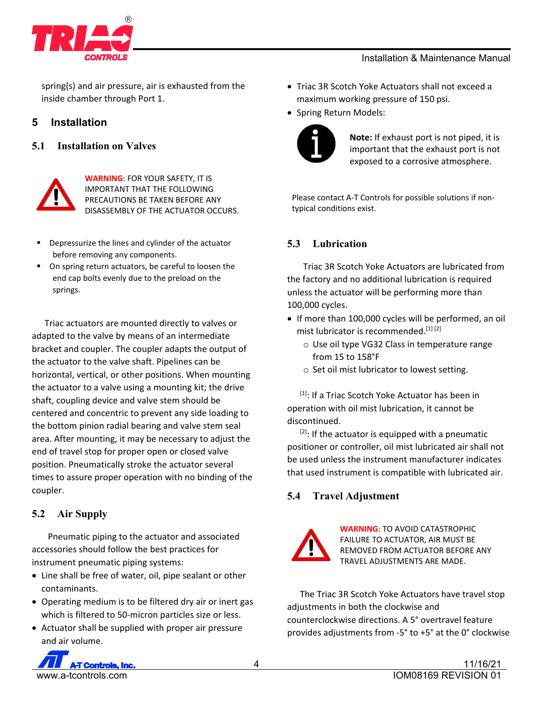

spring(s) and air pressure, air is exhausted from the inside chamber through Port 1.

# **5 Installation**

### **5.1 Installation on Valves**



**WARNING**: FOR YOUR SAFETY, IT IS IMPORTANT THAT THE FOLLOWING PRECAUTIONS BE TAKEN BEFORE ANY DISASSEMBLY OF THE ACTUATOR OCCURS.

- **Depressurize the lines and cylinder of the actuator** before removing any components.
- On spring return actuators, be careful to loosen the end cap bolts evenly due to the preload on the springs.

Triac actuators are mounted directly to valves or adapted to the valve by means of an intermediate bracket and coupler. The coupler adapts the output of the actuator to the valve shaft. Pipelines can be horizontal, vertical, or other positions. When mounting the actuator to a valve using a mounting kit; the drive shaft, coupling device and valve stem should be centered and concentric to prevent any side loading to the bottom pinion radial bearing and valve stem seal area. After mounting, it may be necessary to adjust the end of travel stop for proper open or closed valve position. Pneumatically stroke the actuator several times to assure proper operation with no binding of the coupler.

# **5.2 Air Supply**

Pneumatic piping to the actuator and associated accessories should follow the best practices for instrument pneumatic piping systems:

- Line shall be free of water, oil, pipe sealant or other contaminants.
- Operating medium is to be filtered dry air or inert gas which is filtered to 50-micron particles size or less.
- Actuator shall be supplied with proper air pressure and air volume.
- Triac 3R Scotch Yoke Actuators shall not exceed a maximum working pressure of 150 psi.
- Spring Return Models:



**Note:** If exhaust port is not piped, it is important that the exhaust port is not exposed to a corrosive atmosphere.

Please contact A‐T Controls for possible solutions if non‐ typical conditions exist.

# **5.3 Lubrication**

Triac 3R Scotch Yoke Actuators are lubricated from the factory and no additional lubrication is required unless the actuator will be performing more than 100,000 cycles.

- If more than 100,000 cycles will be performed, an oil mist lubricator is recommended.<sup>[1] [2]</sup>
	- o Use oil type VG32 Class in temperature range from 15 to 158°F
	- o Set oil mist lubricator to lowest setting.

[1]: If a Triac Scotch Yoke Actuator has been in operation with oil mist lubrication, it cannot be discontinued.

 $[2]$ : If the actuator is equipped with a pneumatic positioner or controller, oil mist lubricated air shall not be used unless the instrument manufacturer indicates that used instrument is compatible with lubricated air.

## **5.4 Travel Adjustment**



**WARNING**: TO AVOID CATASTROPHIC FAILURE TO ACTUATOR, AIR MUST BE REMOVED FROM ACTUATOR BEFORE ANY TRAVEL ADJUSTMENTS ARE MADE.

The Triac 3R Scotch Yoke Actuators have travel stop adjustments in both the clockwise and counterclockwise directions. A 5° overtravel feature provides adjustments from ‐5° to +5° at the 0° clockwise

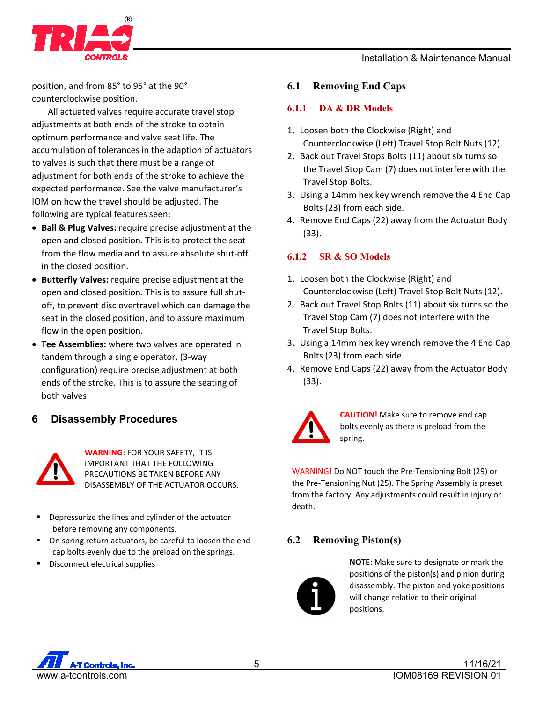

position, and from 85° to 95° at the 90° counterclockwise position.

All actuated valves require accurate travel stop adjustments at both ends of the stroke to obtain optimum performance and valve seat life. The accumulation of tolerances in the adaption of actuators to valves is such that there must be a range of adjustment for both ends of the stroke to achieve the expected performance. See the valve manufacturer's IOM on how the travel should be adjusted. The following are typical features seen:

- **Ball & Plug Valves:** require precise adjustment at the open and closed position. This is to protect the seat from the flow media and to assure absolute shut‐off in the closed position.
- **Butterfly Valves:** require precise adjustment at the open and closed position. This is to assure full shut‐ off, to prevent disc overtravel which can damage the seat in the closed position, and to assure maximum flow in the open position.
- **Tee Assemblies:** where two valves are operated in tandem through a single operator, (3‐way configuration) require precise adjustment at both ends of the stroke. This is to assure the seating of both valves.

### **6 Disassembly Procedures**



**WARNING**: FOR YOUR SAFETY, IT IS IMPORTANT THAT THE FOLLOWING PRECAUTIONS BE TAKEN BEFORE ANY DISASSEMBLY OF THE ACTUATOR OCCURS.

- **P** Depressurize the lines and cylinder of the actuator before removing any components.
- On spring return actuators, be careful to loosen the end cap bolts evenly due to the preload on the springs.
- Disconnect electrical supplies

# **6.1 Removing End Caps**

#### **6.1.1 DA & DR Models**

- 1. Loosen both the Clockwise (Right) and Counterclockwise (Left) Travel Stop Bolt Nuts (12).
- 2. Back out Travel Stops Bolts (11) about six turns so the Travel Stop Cam (7) does not interfere with the Travel Stop Bolts.
- 3. Using a 14mm hex key wrench remove the 4 End Cap Bolts (23) from each side.
- 4. Remove End Caps (22) away from the Actuator Body (33).

### **6.1.2 SR & SO Models**

- 1. Loosen both the Clockwise (Right) and Counterclockwise (Left) Travel Stop Bolt Nuts (12).
- 2. Back out Travel Stop Bolts (11) about six turns so the Travel Stop Cam (7) does not interfere with the Travel Stop Bolts.
- 3. Using a 14mm hex key wrench remove the 4 End Cap Bolts (23) from each side.
- 4. Remove End Caps (22) away from the Actuator Body (33).



**CAUTION!** Make sure to remove end cap bolts evenly as there is preload from the spring.

WARNING! Do NOT touch the Pre‐Tensioning Bolt (29) or the Pre‐Tensioning Nut (25). The Spring Assembly is preset from the factory. Any adjustments could result in injury or death.

### **6.2 Removing Piston(s)**



**NOTE**: Make sure to designate or mark the positions of the piston(s) and pinion during disassembly. The piston and yoke positions will change relative to their original positions.

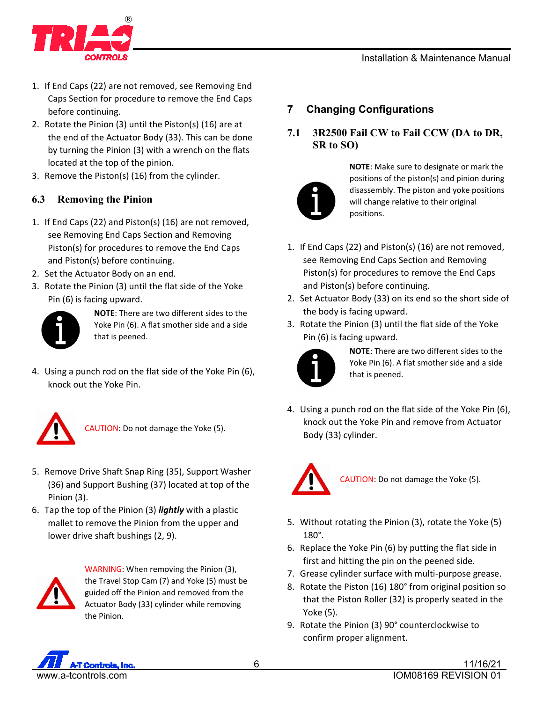

- 1. If End Caps (22) are not removed, see Removing End Caps Section for procedure to remove the End Caps before continuing.
- 2. Rotate the Pinion (3) until the Piston(s) (16) are at the end of the Actuator Body (33). This can be done by turning the Pinion (3) with a wrench on the flats located at the top of the pinion.
- 3. Remove the Piston(s) (16) from the cylinder.

## **6.3 Removing the Pinion**

- 1. If End Caps (22) and Piston(s) (16) are not removed, see Removing End Caps Section and Removing Piston(s) for procedures to remove the End Caps and Piston(s) before continuing.
- 2. Set the Actuator Body on an end.
- 3. Rotate the Pinion (3) until the flat side of the Yoke Pin (6) is facing upward.



**NOTE**: There are two different sides to the Yoke Pin (6). A flat smother side and a side that is peened.

4. Using a punch rod on the flat side of the Yoke Pin (6), knock out the Yoke Pin.



CAUTION: Do not damage the Yoke (5).

- 5. Remove Drive Shaft Snap Ring (35), Support Washer (36) and Support Bushing (37) located at top of the Pinion (3).
- 6. Tap the top of the Pinion (3) *lightly* with a plastic mallet to remove the Pinion from the upper and lower drive shaft bushings (2, 9).



WARNING: When removing the Pinion (3), the Travel Stop Cam (7) and Yoke (5) must be guided off the Pinion and removed from the Actuator Body (33) cylinder while removing the Pinion.

# **7 Changing Configurations**

### **7.1 3R2500 Fail CW to Fail CCW (DA to DR, SR to SO)**



**NOTE**: Make sure to designate or mark the positions of the piston(s) and pinion during disassembly. The piston and yoke positions will change relative to their original positions.

- 1. If End Caps (22) and Piston(s) (16) are not removed, see Removing End Caps Section and Removing Piston(s) for procedures to remove the End Caps and Piston(s) before continuing.
- 2. Set Actuator Body (33) on its end so the short side of the body is facing upward.
- 3. Rotate the Pinion (3) until the flat side of the Yoke Pin (6) is facing upward.



**NOTE**: There are two different sides to the Yoke Pin (6). A flat smother side and a side that is peened.

4. Using a punch rod on the flat side of the Yoke Pin (6), knock out the Yoke Pin and remove from Actuator Body (33) cylinder.



CAUTION: Do not damage the Yoke (5).

- 5. Without rotating the Pinion (3), rotate the Yoke (5) 180°.
- 6. Replace the Yoke Pin (6) by putting the flat side in first and hitting the pin on the peened side.
- 7. Grease cylinder surface with multi‐purpose grease.
- 8. Rotate the Piston (16) 180° from original position so that the Piston Roller (32) is properly seated in the Yoke (5).
- 9. Rotate the Pinion (3) 90° counterclockwise to confirm proper alignment.

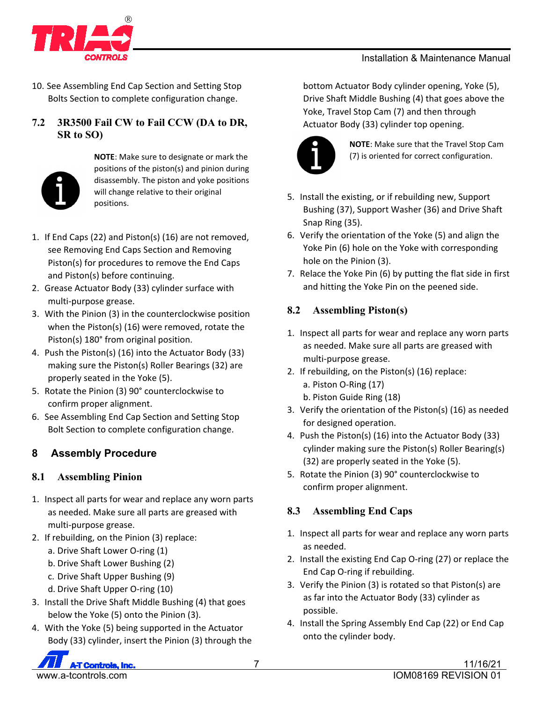

10. See Assembling End Cap Section and Setting Stop Bolts Section to complete configuration change.

### **7.2 3R3500 Fail CW to Fail CCW (DA to DR, SR to SO)**



**NOTE**: Make sure to designate or mark the positions of the piston(s) and pinion during disassembly. The piston and yoke positions will change relative to their original positions.

- 1. If End Caps (22) and Piston(s) (16) are not removed, see Removing End Caps Section and Removing Piston(s) for procedures to remove the End Caps and Piston(s) before continuing.
- 2. Grease Actuator Body (33) cylinder surface with multi‐purpose grease.
- 3. With the Pinion (3) in the counterclockwise position when the Piston(s) (16) were removed, rotate the Piston(s) 180° from original position.
- 4. Push the Piston(s) (16) into the Actuator Body (33) making sure the Piston(s) Roller Bearings (32) are properly seated in the Yoke (5).
- 5. Rotate the Pinion (3) 90° counterclockwise to confirm proper alignment.
- 6. See Assembling End Cap Section and Setting Stop Bolt Section to complete configuration change.

# **8 Assembly Procedure**

## **8.1 Assembling Pinion**

- 1. Inspect all parts for wear and replace any worn parts as needed. Make sure all parts are greased with multi‐purpose grease.
- 2. If rebuilding, on the Pinion (3) replace:
	- a. Drive Shaft Lower O‐ring (1)
	- b. Drive Shaft Lower Bushing (2)
	- c. Drive Shaft Upper Bushing (9)
	- d. Drive Shaft Upper O‐ring (10)
- 3. Install the Drive Shaft Middle Bushing (4) that goes below the Yoke (5) onto the Pinion (3).
- 4. With the Yoke (5) being supported in the Actuator Body (33) cylinder, insert the Pinion (3) through the

bottom Actuator Body cylinder opening, Yoke (5), Drive Shaft Middle Bushing (4) that goes above the Yoke, Travel Stop Cam (7) and then through Actuator Body (33) cylinder top opening.



**NOTE**: Make sure that the Travel Stop Cam (7) is oriented for correct configuration.

- 5. Install the existing, or if rebuilding new, Support Bushing (37), Support Washer (36) and Drive Shaft Snap Ring (35).
- 6. Verify the orientation of the Yoke (5) and align the Yoke Pin (6) hole on the Yoke with corresponding hole on the Pinion (3).
- 7. Relace the Yoke Pin (6) by putting the flat side in first and hitting the Yoke Pin on the peened side.

# **8.2 Assembling Piston(s)**

- 1. Inspect all parts for wear and replace any worn parts as needed. Make sure all parts are greased with multi‐purpose grease.
- 2. If rebuilding, on the Piston(s) (16) replace: a. Piston O‐Ring (17)
	- b. Piston Guide Ring (18)
- 3. Verify the orientation of the Piston(s) (16) as needed for designed operation.
- 4. Push the Piston(s) (16) into the Actuator Body (33) cylinder making sure the Piston(s) Roller Bearing(s) (32) are properly seated in the Yoke (5).
- 5. Rotate the Pinion (3) 90° counterclockwise to confirm proper alignment.

## **8.3 Assembling End Caps**

- 1. Inspect all parts for wear and replace any worn parts as needed.
- 2. Install the existing End Cap O‐ring (27) or replace the End Cap O‐ring if rebuilding.
- 3. Verify the Pinion (3) is rotated so that Piston(s) are as far into the Actuator Body (33) cylinder as possible.
- 4. Install the Spring Assembly End Cap (22) or End Cap onto the cylinder body.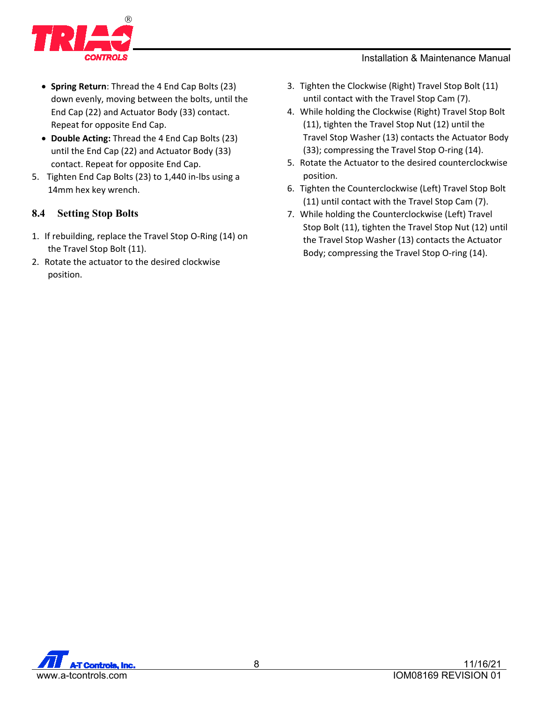

- **Spring Return**: Thread the 4 End Cap Bolts (23) down evenly, moving between the bolts, until the End Cap (22) and Actuator Body (33) contact. Repeat for opposite End Cap.
- **Double Acting:** Thread the 4 End Cap Bolts (23) until the End Cap (22) and Actuator Body (33) contact. Repeat for opposite End Cap.
- 5. Tighten End Cap Bolts (23) to 1,440 in‐lbs using a 14mm hex key wrench.

### **8.4 Setting Stop Bolts**

- 1. If rebuilding, replace the Travel Stop O‐Ring (14) on the Travel Stop Bolt (11).
- 2. Rotate the actuator to the desired clockwise position.
- 3. Tighten the Clockwise (Right) Travel Stop Bolt (11) until contact with the Travel Stop Cam (7).
- 4. While holding the Clockwise (Right) Travel Stop Bolt (11), tighten the Travel Stop Nut (12) until the Travel Stop Washer (13) contacts the Actuator Body (33); compressing the Travel Stop O‐ring (14).
- 5. Rotate the Actuator to the desired counterclockwise position.
- 6. Tighten the Counterclockwise (Left) Travel Stop Bolt (11) until contact with the Travel Stop Cam (7).
- 7. While holding the Counterclockwise (Left) Travel Stop Bolt (11), tighten the Travel Stop Nut (12) until the Travel Stop Washer (13) contacts the Actuator Body; compressing the Travel Stop O‐ring (14).

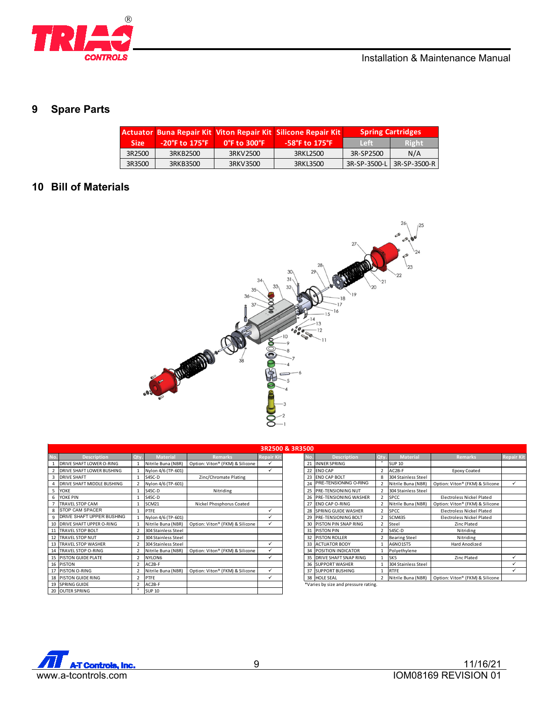

# **9 Spare Parts**

|             |                                    |                                   | Actuator Buna Repair Kit Viton Repair Kit Silicone Repair Kit | <b>Spring Cartridges</b> |         |  |
|-------------|------------------------------------|-----------------------------------|---------------------------------------------------------------|--------------------------|---------|--|
| <b>Size</b> | $-20^{\circ}$ F to $175^{\circ}$ F | $0^{\circ}$ F to 300 $^{\circ}$ F | $-58^{\circ}$ F to 175 $^{\circ}$ F                           | <b>Left</b>              | / Right |  |
| 3R2500      | 3RKB2500                           | 3RKV2500                          | 3RKL2500                                                      | 3R-SP2500                | N/A     |  |
| 3R3500      | 3RKB3500                           | 3RKV3500                          | 3RKL3500                                                      | 3R-SP-3500-L             |         |  |

# **10 Bill of Materials**



|     | 3R2500 & 3R3500                   |  |                     |                                 |                   |  |     |                                      |                          |                      |                                  |                   |
|-----|-----------------------------------|--|---------------------|---------------------------------|-------------------|--|-----|--------------------------------------|--------------------------|----------------------|----------------------------------|-------------------|
| No. | <b>Description</b>                |  | <b>Material</b>     | <b>Remarks</b>                  | <b>Repair Kit</b> |  | No. | <b>Description</b>                   | Otv                      | <b>Material</b>      | <b>Remarks</b>                   | <b>Repair Kit</b> |
|     | DRIVE SHAFT LOWER O-RING          |  | Nitrile Buna (NBR)  | Option: Viton® (FKM) & Silicone |                   |  | 21  | <b>INNER SPRING</b>                  | $\ddot{\phantom{1}}$     | <b>SUP 10</b>        |                                  |                   |
|     | <b>DRIVE SHAFT LOWER BUSHING</b>  |  | Nylon 4/6 (TP-601)  |                                 |                   |  |     | 22 END CAP                           | $\overline{\phantom{a}}$ | AC2B-F               | Epoxy Coated                     |                   |
|     | <b>DRIVE SHAFT</b>                |  | <b>S45C-D</b>       | Zinc/Chromate Plating           |                   |  |     | 23 END CAP BOLT                      | 8                        | 304 Stainless Steel  |                                  |                   |
|     | <b>DRIVE SHAFT MIDDLE BUSHING</b> |  | Nylon 4/6 (TP-601)  |                                 |                   |  |     | <b>PRE-TENSIONING O-RING</b>         | $\overline{\phantom{a}}$ | Nitrile Buna (NBR)   | Option: Viton® (FKM) & Silicone  |                   |
|     | <b>YOKE</b>                       |  | S45C-D              | Nitriding                       |                   |  |     | 25 PRE-TENSIONING NUT                | $\overline{\phantom{a}}$ | 304 Stainless Steel  |                                  |                   |
|     | YOKE PIN                          |  | S45C-D              |                                 |                   |  |     | 26 <b>IPRE-TENSIONING WASHER</b>     | $\overline{2}$           | <b>SPCC</b>          | <b>Electroless Nickel Plated</b> |                   |
|     | <b>TRAVEL STOP CAM</b>            |  | SCM21               | Nickel Phosphorus Coated        |                   |  |     | 27 END CAP O-RING                    | $\overline{2}$           | Nitrile Buna (NBR)   | Option: Viton® (FKM) & Silicone  |                   |
| 8   | <b>STOP CAM SPACER</b>            |  | <b>PTFE</b>         |                                 |                   |  |     | 28 SPRING GUIDE WASHER               | $\overline{2}$           | <b>SPCC</b>          | <b>Electroless Nickel Plated</b> |                   |
| 9   | DRIVE SHAFT UPPER BUSHING         |  | Nylon 4/6 (TP-601)  |                                 | ✓                 |  |     | 29 PRE-TENSIONING BOLT               | $\overline{2}$           | <b>SCM435</b>        | <b>Electroless Nickel Plated</b> |                   |
|     | <b>DRIVE SHAFT UPPER O-RING</b>   |  | Nitrile Buna (NBR)  | Option: Viton® (FKM) & Silicone |                   |  |     | 30 PISTON PIN SNAP RING              | $\overline{2}$           | Steel                | Zinc Plated                      |                   |
|     | <b>TRAVEL STOP BOLT</b>           |  | 304 Stainless Steel |                                 |                   |  |     | 31 PISTON PIN                        | $\overline{2}$           | S45C-D               | Nitriding                        |                   |
|     | 12 TRAVEL STOP NUT                |  | 304 Stainless Steel |                                 |                   |  |     | 32 PISTON ROLLER                     |                          | <b>Bearing Steel</b> | Nitriding                        |                   |
|     | 13 TRAVEL STOP WASHER             |  | 304 Stainless Steel |                                 |                   |  |     | 33 ACTUATOR BODY                     | $\mathbf{1}$             | A6NO1ST5             | Hard Anodized                    |                   |
|     | 14 TRAVEL STOP O-RING             |  | Nitrile Buna (NBR)  | Option: Viton® (FKM) & Silicone |                   |  |     | 34 POSITION INDICATOR                |                          | Polyethylene         |                                  |                   |
|     | 15 PISTON GUIDE PLATE             |  | NYLON6              |                                 | ୰                 |  |     | 35 DRIVE SHAFT SNAP RING             |                          | SK <sub>5</sub>      | Zinc Plated                      |                   |
|     | 16 PISTON                         |  | AC2B-F              |                                 |                   |  |     | 36 SUPPORT WASHER                    |                          | 304 Stainless Steel  |                                  |                   |
|     | 17 PISTON O-RING                  |  | Nitrile Buna (NBR)  | Option: Viton® (FKM) & Silicone |                   |  |     | 37 SUPPORT BUSHING                   |                          | <b>RTFE</b>          |                                  |                   |
|     | 18 PISTON GUIDE RING              |  | PTFE                |                                 | ✓                 |  |     | 38 HOLE SEAL                         |                          | Nitrile Buna (NBR)   | Option: Viton® (FKM) & Silicone  |                   |
| 19  | <b>SPRING GUIDE</b>               |  | AC2B-F              |                                 |                   |  |     | *Varies by size and pressure rating. |                          |                      |                                  |                   |
|     | 20 OUTER SPRING                   |  | <b>SUP 10</b>       |                                 |                   |  |     |                                      |                          |                      |                                  |                   |

| & 3R3500 |            |                                |                          |                      |                                  |                   |  |  |
|----------|------------|--------------------------------|--------------------------|----------------------|----------------------------------|-------------------|--|--|
|          | $\sqrt{6}$ | <b>Description</b>             |                          | <b>Material</b>      | <b>Remarks</b>                   | <b>Repair Kit</b> |  |  |
|          |            | 21 INNER SPRING                | ٠                        | <b>SUP 10</b>        |                                  |                   |  |  |
|          | 22         | <b>END CAP</b>                 | $\mathfrak{p}$           | AC2B-F               | <b>Epoxy Coated</b>              |                   |  |  |
|          |            | 23 END CAP BOLT                | 8                        | 304 Stainless Steel  |                                  |                   |  |  |
|          | 24         | <b>PRE-TENSIONING O-RING</b>   | $\overline{2}$           | Nitrile Buna (NBR)   | Option: Viton® (FKM) & Silicone  | ✓                 |  |  |
|          | 25         | <b>PRE-TENSIONING NUT</b>      | $\mathfrak{p}$           | 304 Stainless Steel  |                                  |                   |  |  |
|          | 26         | <b>PRE-TENSIONING WASHER</b>   | $\mathfrak{p}$           | <b>SPCC</b>          | Electroless Nickel Plated        |                   |  |  |
|          | 27         | <b>END CAP O-RING</b>          | $\overline{2}$           | Nitrile Buna (NBR)   | Option: Viton® (FKM) & Silicone  |                   |  |  |
|          |            | 28 SPRING GUIDE WASHER         | $\mathfrak{p}$           | <b>SPCC</b>          | <b>Electroless Nickel Plated</b> |                   |  |  |
|          |            | 29 <b>IPRE-TENSIONING BOLT</b> | $\overline{\phantom{a}}$ | <b>SCM435</b>        | Electroless Nickel Plated        |                   |  |  |
|          |            | 30 PISTON PIN SNAP RING        | $\overline{\phantom{a}}$ | Steel                | Zinc Plated                      |                   |  |  |
|          | 31         | <b>PISTON PIN</b>              | $\mathfrak{p}$           | S45C-D               | Nitriding                        |                   |  |  |
|          | 32         | <b>PISTON ROLLER</b>           | $\overline{2}$           | <b>Bearing Steel</b> | Nitriding                        |                   |  |  |
|          | 33         | <b>ACTUATOR BODY</b>           | $\mathbf{1}$             | A6NO1ST5             | Hard Anodized                    |                   |  |  |
|          | 34         | <b>POSITION INDICATOR</b>      | $\mathbf{1}$             | Polyethylene         |                                  |                   |  |  |
|          |            | 35 DRIVE SHAFT SNAP RING       | $\mathbf{1}$             | SK <sub>5</sub>      | Zinc Plated                      | ✓                 |  |  |
|          |            | 36 SUPPORT WASHER              | $\mathbf{1}$             | 304 Stainless Steel  |                                  |                   |  |  |
|          | 37         | <b>ISUPPORT BUSHING</b>        | $\mathbf{1}$             | <b>RTFE</b>          |                                  | ✓                 |  |  |
|          | 38         | <b>HOLE SEAL</b>               | $\overline{2}$           | Nitrile Buna (NBR)   | Option: Viton® (FKM) & Silicone  |                   |  |  |